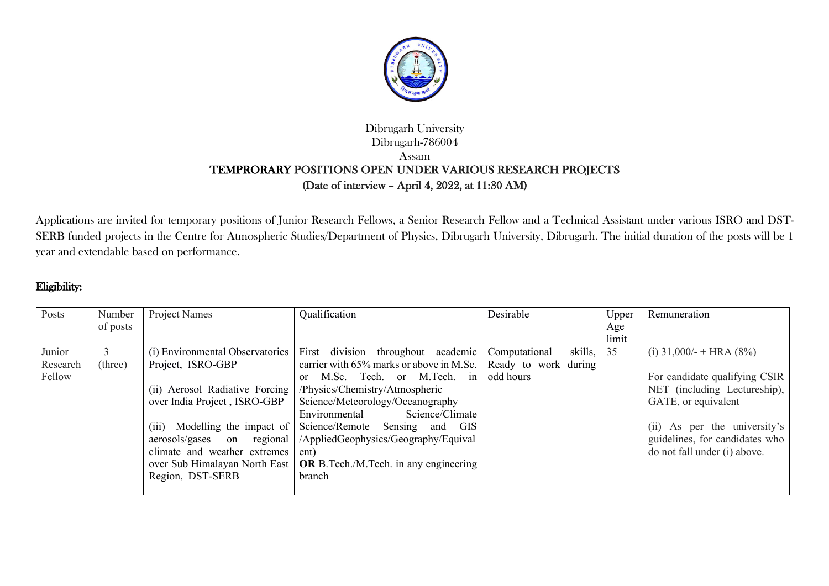

## Dibrugarh University Dibrugarh-786004 Assam TEMPRORARY POSITIONS OPEN UNDER VARIOUS RESEARCH PROJECTS (Date of interview – April 4, 2022, at 11:30 AM)

Applications are invited for temporary positions of Junior Research Fellows, a Senior Research Fellow and a Technical Assistant under various ISRO and DST-SERB funded projects in the Centre for Atmospheric Studies/Department of Physics, Dibrugarh University, Dibrugarh. The initial duration of the posts will be 1 year and extendable based on performance.

## Eligibility:

| Posts    | Number   | Project Names                    | Qualification                                 | Desirable                | Upper | Remuneration                   |
|----------|----------|----------------------------------|-----------------------------------------------|--------------------------|-------|--------------------------------|
|          | of posts |                                  |                                               |                          | Age   |                                |
|          |          |                                  |                                               |                          | limit |                                |
| Junior   |          | (i) Environmental Observatories  | First division<br>throughout academic         | skills,<br>Computational | 35    | (i) $31,000/-$ + HRA (8%)      |
| Research | (three)  | Project, ISRO-GBP                | carrier with 65% marks or above in M.Sc.      | Ready to work during     |       |                                |
| Fellow   |          |                                  | M.Sc. Tech. or M.Tech.<br>in<br><sub>or</sub> | odd hours                |       | For candidate qualifying CSIR  |
|          |          | (ii) Aerosol Radiative Forcing   | /Physics/Chemistry/Atmospheric                |                          |       | NET (including Lectureship),   |
|          |          | over India Project, ISRO-GBP     | Science/Meteorology/Oceanography              |                          |       | GATE, or equivalent            |
|          |          |                                  | Science/Climate<br>Environmental              |                          |       |                                |
|          |          | Modelling the impact of<br>(iii) | Science/Remote Sensing and<br><b>GIS</b>      |                          |       | (ii) As per the university's   |
|          |          | aerosols/gases on regional       | /AppliedGeophysics/Geography/Equival          |                          |       | guidelines, for candidates who |
|          |          | climate and weather extremes     | ent)                                          |                          |       | do not fall under (i) above.   |
|          |          | over Sub Himalayan North East    | <b>OR</b> B.Tech./M.Tech. in any engineering  |                          |       |                                |
|          |          | Region, DST-SERB                 | branch                                        |                          |       |                                |
|          |          |                                  |                                               |                          |       |                                |